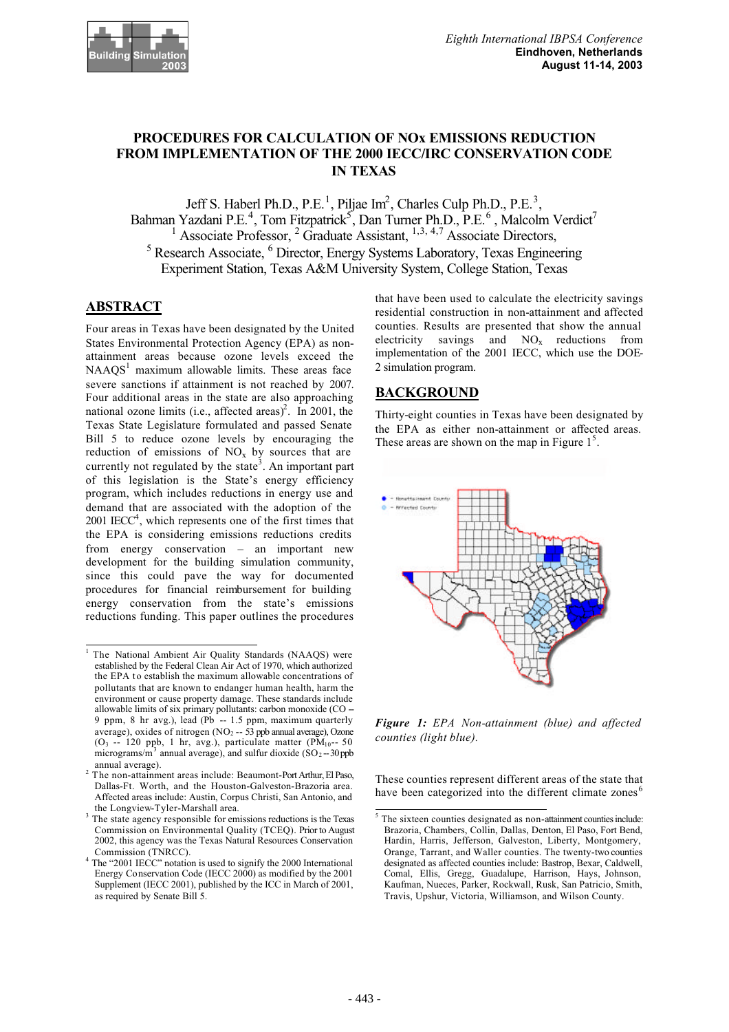

# **PROCEDURES FOR CALCULATION OF NOx EMISSIONS REDUCTION FROM IMPLEMENTATION OF THE 2000 IECC/IRC CONSERVATION CODE IN TEXAS**

Jeff S. Haberl Ph.D., P.E.<sup>1</sup>, Piljae Im<sup>2</sup>, Charles Culp Ph.D., P.E.<sup>3</sup>, Bahman Yazdani P.E.<sup>4</sup>, Tom Fitzpatrick<sup>5</sup>, Dan Turner Ph.D., P.E.<sup>6</sup>, Malcolm Verdict<sup>7</sup> <sup>1</sup> Associate Professor,  ${}^{2}$  Graduate Assistant,  ${}^{1,3,4,7}$  Associate Directors,  $5$  Research Associate,  $6$  Director, Energy Systems Laboratory, Texas Engineering Experiment Station, Texas A&M University System, College Station, Texas

## **ABSTRACT**

Four areas in Texas have been designated by the United States Environmental Protection Agency (EPA) as nonattainment areas because ozone levels exceed the  $NAAQS<sup>1</sup>$  maximum allowable limits. These areas face severe sanctions if attainment is not reached by 2007. Four additional areas in the state are also approaching national ozone limits (i.e., affected areas)<sup>2</sup>. In 2001, the Texas State Legislature formulated and passed Senate Bill 5 to reduce ozone levels by encouraging the reduction of emissions of  $NO<sub>x</sub>$  by sources that are currently not regulated by the state<sup>3</sup>. An important part of this legislation is the State's energy efficiency program, which includes reductions in energy use and demand that are associated with the adoption of the  $2001$  IECC<sup>4</sup>, which represents one of the first times that the EPA is considering emissions reductions credits from energy conservation – an important new development for the building simulation community, since this could pave the way for documented procedures for financial reimbursement for building energy conservation from the state's emissions reductions funding. This paper outlines the procedures

that have been used to calculate the electricity savings residential construction in non-attainment and affected counties. Results are presented that show the annual electricity savings and  $NO<sub>x</sub>$  reductions from implementation of the 2001 IECC, which use the DOE-2 simulation program.

# **BACKGROUND**

Thirty-eight counties in Texas have been designated by the EPA as either non-attainment or affected areas. These areas are shown on the map in Figure  $1<sup>5</sup>$ .



*Figure 1: EPA Non-attainment (blue) and affected counties (light blue).*

These counties represent different areas of the state that have been categorized into the different climate zones<sup>6</sup>

<sup>&</sup>lt;sup>1</sup> The National Ambient Air Quality Standards (NAAQS) were established by the Federal Clean Air Act of 1970, which authorized the EPA to establish the maximum allowable concentrations of pollutants that are known to endanger human health, harm the environment or cause property damage. These standards include allowable limits of six primary pollutants: carbon monoxide (CO -- 9 ppm, 8 hr avg.), lead (Pb -- 1.5 ppm, maximum quarterly average), oxides of nitrogen (NO<sub>2</sub> -- 53 ppb annual average), Ozone (O<sub>3</sub> -- 120 ppb, 1 hr, avg.), particulate matter (PM<sub>10</sub>-- 50) micrograms/m<sup>3</sup> annual average), and sulfur dioxide  $(SO<sub>2</sub> - 30$ ppb

annual average). 2 The non-attainment areas include: Beaumont-Port Arthur, El Paso, Dallas-Ft. Worth, and the Houston-Galveston-Brazoria area. Affected areas include: Austin, Corpus Christi, San Antonio, and the Longview-Tyler-Marshall area.

<sup>&</sup>lt;sup>3</sup> The state agency responsible for emissions reductions is the Texas Commission on Environmental Quality (TCEQ). Prior to August 2002, this agency was the Texas Natural Resources Conservation Commission (TNRCC). <sup>4</sup>

<sup>&</sup>lt;sup>4</sup> The "2001 IECC" notation is used to signify the 2000 International Energy Conservation Code (IECC 2000) as modified by the 2001 Supplement (IECC 2001), published by the ICC in March of 2001, as required by Senate Bill 5.

<sup>5</sup> The sixteen counties designated as non-attainment counties include: Brazoria, Chambers, Collin, Dallas, Denton, El Paso, Fort Bend, Hardin, Harris, Jefferson, Galveston, Liberty, Montgomery, Orange, Tarrant, and Waller counties. The twenty-two counties designated as affected counties include: Bastrop, Bexar, Caldwell, Comal, Ellis, Gregg, Guadalupe, Harrison, Hays, Johnson, Kaufman, Nueces, Parker, Rockwall, Rusk, San Patricio, Smith, Travis, Upshur, Victoria, Williamson, and Wilson County.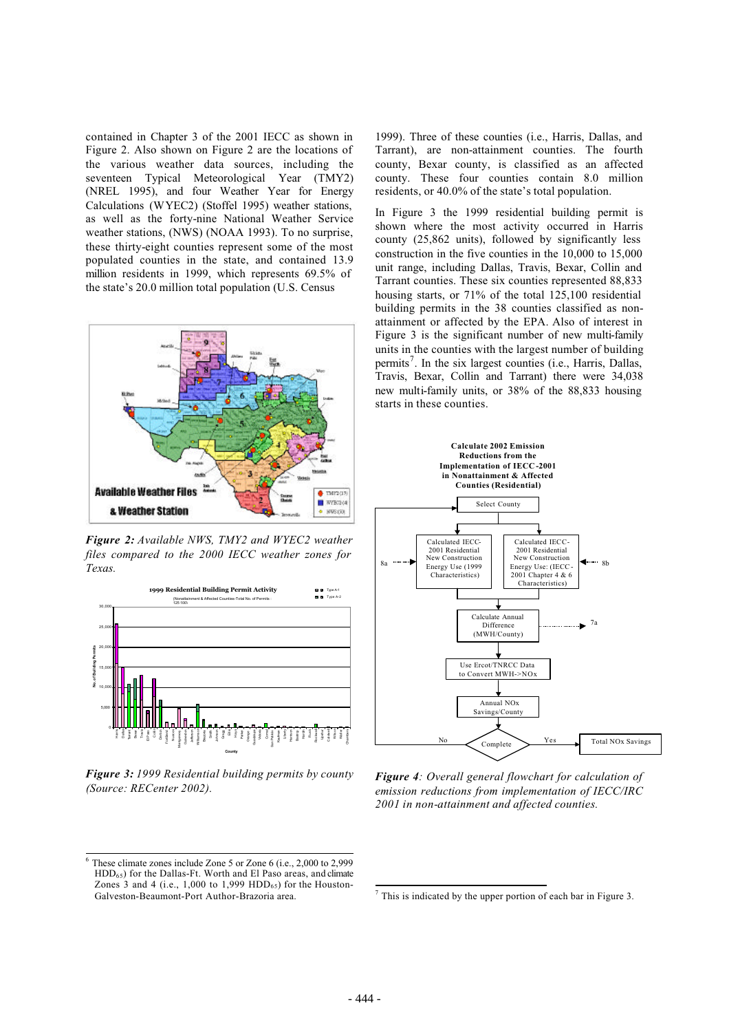contained in Chapter 3 of the 2001 IECC as shown in Figure 2. Also shown on Figure 2 are the locations of the various weather data sources, including the seventeen Typical Meteorological Year (TMY2) (NREL 1995), and four Weather Year for Energy Calculations (WYEC2) (Stoffel 1995) weather stations, as well as the forty-nine National Weather Service weather stations, (NWS) (NOAA 1993). To no surprise, these thirty-eight counties represent some of the most populated counties in the state, and contained 13.9 million residents in 1999, which represents 69.5% of the state's 20.0 million total population (U.S. Census



*Figure 2: Available NWS, TMY2 and WYEC2 weather files compared to the 2000 IECC weather zones for Texas.*



*Figure 3: 1999 Residential building permits by county (Source: RECenter 2002).* 

1999). Three of these counties (i.e., Harris, Dallas, and Tarrant), are non-attainment counties. The fourth county, Bexar county, is classified as an affected county. These four counties contain 8.0 million residents, or 40.0% of the state's total population.

In Figure 3 the 1999 residential building permit is shown where the most activity occurred in Harris county (25,862 units), followed by significantly less construction in the five counties in the 10,000 to 15,000 unit range, including Dallas, Travis, Bexar, Collin and Tarrant counties. These six counties represented 88,833 housing starts, or 71% of the total 125,100 residential building permits in the 38 counties classified as nonattainment or affected by the EPA. Also of interest in Figure 3 is the significant number of new multi-family units in the counties with the largest number of building permits<sup>7</sup>. In the six largest counties (i.e., Harris, Dallas, Travis, Bexar, Collin and Tarrant) there were 34,038 new multi-family units, or 38% of the 88,833 housing starts in these counties.



*Figure 4: Overall general flowchart for calculation of emission reductions from implementation of IECC/IRC 2001 in non-attainment and affected counties.*

These climate zones include Zone 5 or Zone 6 (i.e., 2,000 to 2,999  $HDD_{65}$ ) for the Dallas-Ft. Worth and El Paso areas, and climate Zones 3 and 4 (i.e.,  $1,000$  to  $1,999$  HDD<sub>65</sub>) for the Houston-Galveston-Beaumont-Port Author-Brazoria area.

<sup>7</sup> This is indicated by the upper portion of each bar in Figure 3.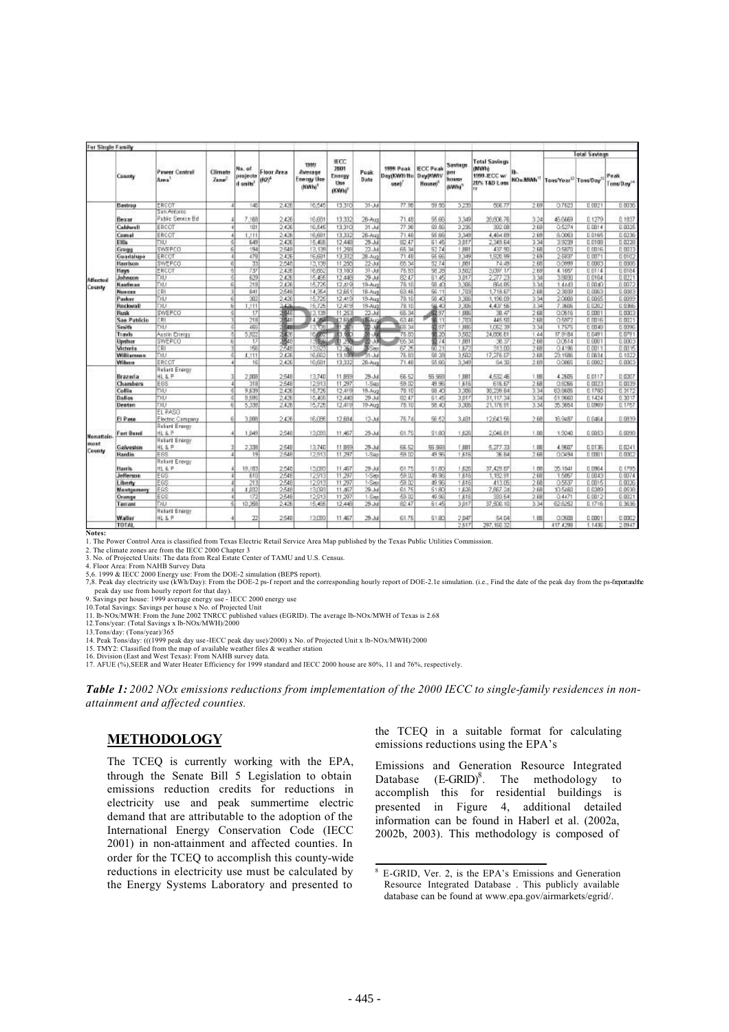| For Single Family  |                   |                                   |                                     |                                            |                                 |                                             |                                         |              |                                    |                                                     |                         |                                             |          |                                                |               |                                |
|--------------------|-------------------|-----------------------------------|-------------------------------------|--------------------------------------------|---------------------------------|---------------------------------------------|-----------------------------------------|--------------|------------------------------------|-----------------------------------------------------|-------------------------|---------------------------------------------|----------|------------------------------------------------|---------------|--------------------------------|
|                    | County            |                                   |                                     |                                            |                                 | 1995                                        | IECC.                                   |              |                                    |                                                     | Savings                 | <b>Total Savings</b>                        |          |                                                | Total Savings |                                |
|                    |                   | Power Control<br>Ams <sup>1</sup> | <b>Climate</b><br>Zuna <sup>2</sup> | No, af<br>projecte<br>d units <sup>1</sup> | Floor Area<br>(FO) <sup>4</sup> | Average<br>Emergy Use<br>(KWh) <sup>5</sup> | 2001<br>Energy<br>Use<br><b>OCWIN'S</b> | Peak<br>Date | 1999 Peak<br>DaviNWIt/Ho.<br>uself | <b>IECC Peak</b><br>Day(KWN)<br>Housei <sup>*</sup> | <b>Business</b><br>aww? | <b>MWI6</b><br>1999-IECC w/<br>20% T&D Loss | NO  MANH | Tons/Yoar <sup>12</sup> Tons/Day <sup>11</sup> |               | Peak<br>Tons/Day <sup>54</sup> |
|                    | Dastrop           | ERCOT                             |                                     | 145                                        | 2.426                           | 16:545                                      | 13,310                                  | 31-Jul       | 77.90                              | 59.50                                               | 3.235                   | 656.77                                      | 2.68     | 0.7623                                         | 0.0021        | 0.0335                         |
|                    | Bezar             | San Antonio<br>Pablic Service Ed  |                                     | 7.168                                      | 2426                            | 16.681                                      | 13,332                                  | 26-Aug       | 71.48                              | 55.66                                               | 3.349                   | 28.606.76                                   | 3.24     | 46,6689                                        | 0.1279        | 0.1837                         |
|                    | Caldwell          | ERCOT                             |                                     | 101                                        | 2,426                           | 16,546                                      | 13,310                                  | $31 - hd$    | 77.96                              | 59.56                                               | 3,235                   | 302.DB                                      | 2.69     | 0.5274                                         | 0.0014        | 0.0025                         |
|                    | Comat             | ERCOT                             |                                     | 1.111<br>4                                 | 2.426                           | 16,681                                      | 13.332                                  | $28 - 400$   | 71.48                              | 55.66                                               | 3.349                   | 4.464.89                                    | 2.69     | 6.0063                                         | 0.0165        | 0.0236                         |
|                    | Ellis             | <b>DU</b>                         |                                     | 5<br>649                                   | 2426                            | 15.455                                      | 12.448                                  | 29-33        | 82.47                              | 51.45                                               | 3.017                   | 2.349.64                                    | 334      | 39739                                          | 0.0108        | 0.0228                         |
|                    | Gregg             | SWEPCO                            |                                     | 194<br>$\overline{5}$                      | 2548                            | 13.135                                      | 11.258                                  | 22-33        | 65.34                              | 52.74                                               | 11,RB1                  | 437.90                                      | 2.58     | 0.5870                                         | 0.0016        | 0.0033                         |
|                    | Guadalupe         | ERCOT                             |                                     | 479<br>л                                   | 2435                            | 16,681                                      | 13,332                                  | 28.Aug       | 71.48                              | 55.66                                               | 3,349                   | 1,920.99                                    | 2.69     | 2.5837                                         | 0.0071        | 0.0102                         |
|                    | Harrison          | SWEPCO                            |                                     | 33<br>6                                    | 2,540                           | 13,138                                      | 11.250                                  | 22-33        | 65.34                              | 52.74                                               | 1.001                   | 74.49                                       | 2.60     | 0.0993                                         | 0.0003        | 0.0006                         |
| Affected<br>County | Hays              | ERCOT                             |                                     | 737<br>61                                  | 2.426                           | 16.662                                      | 13,160                                  | 31-Jul       | 78.53                              | 58.25                                               | 3,502                   | 5,097.17                                    | 2.88     | 4.1657                                         | 0.0114        | 0.0184                         |
|                    | <b>Johnson</b>    | DU                                |                                     | 629                                        | 2436                            | 15.49                                       | 12,448                                  | 29 Jul       | 82.47                              | 81.45                                               | 3,017                   | 2277.23                                     | 3.34     | 38030                                          | 0.0104        | 0.0221                         |
|                    | Kaufman           | <b>DU</b>                         |                                     | 218<br>ŭ.                                  | 2.426                           | 15,726                                      | 12.419                                  | 19-Aug       | 78.10                              | 68.40                                               | 3,308                   | <b>BBA B6</b>                               | 3.34     | 1.4483                                         | 0.0040        | 0.0072                         |
|                    | Nueces            | CRI                               |                                     | B41<br>3                                   | 2548                            | 14,354                                      | 12.851                                  | 18-Aug       | 63.46                              | 56.11                                               | 1,703                   | 1,718.87                                    | 2.68     | 2.3030                                         | 0.0083        | 0.0083                         |
|                    | Parker            | DO                                |                                     | 302<br>6Ī                                  | 2,426                           | 15,725                                      | 12,419                                  | 19-Aug       | 78.1D                              | 58.40                                               | 3,306                   | 1,198.09                                    | 3.34     | 2.0008                                         | 0.0055        | 0.0099                         |
|                    | Rockwall          | DU                                |                                     | 6<br>1,111                                 | 2426                            | 15,725                                      | 12.419                                  | 19-Aug       | 7B.1D                              | 58.40                                               | 3,305                   | 4.407.56                                    | 3.34     | 7.3605                                         | 0.0202        | 0.0366                         |
|                    | <b>Flush</b>      | <b>SWEPCO</b>                     |                                     | 51<br>17                                   | 塞                               | V3.139                                      | 11.253                                  | $22 - 34$    | 65.34                              | 前97                                                 | 1,886                   | 38.47                                       | 2.68     | 0.0616                                         | 0.0001        | 0.0003                         |
|                    | San Patricio      | CRI                               |                                     | 218<br>31                                  | 548                             | 4.368                                       | 12.661                                  | <b>IBLUG</b> | 63.46                              | 第11                                                 | $+703$                  | 445.50                                      | 2.68     | 0.5877                                         | 0.0016        | 0.0021                         |
|                    | Smith             | <b>DO</b>                         |                                     | ङ<br>465                                   | 648                             | 13,139                                      | 計源                                      |              | 65.34                              | 量37                                                 | 1,686                   | 1,052.39                                    | 3.34     | 1.7575                                         | 0.0049        | 0.0096                         |
|                    | Travis            | Assin Crieray                     |                                     | 5,922<br>ő.                                | 植物                              | <b>ICART</b>                                | 13.00                                   | 31-38        | 78.80                              | 露の                                                  | 3,502                   | 24,006.61                                   | 1.44     | 17.9184                                        | 0.0491        | 0.0791                         |
|                    | Upshur            | SWEPCO                            |                                     | 17                                         | 3646                            | 13986                                       | 11.250                                  | 置いま          | 66.34                              | 12.74                                               | 1,681                   | 38.37                                       | 2.68     | 0.0614                                         | 0.0001        | 0.0003                         |
|                    | Victoria          | CRI.                              |                                     | 156                                        | 2.54R                           | 1392                                        | 12.261                                  | DE Soci      | 67.26                              | 80.21                                               | 1.67                    | 513.00                                      | 2.68     | 0.4196                                         | 0.0011        | 0.0015                         |
|                    | Williamson        | <b>DU</b>                         |                                     | 51<br>4.111                                | 2.426                           | 16.662                                      | 13.109                                  | $31 - h$     | 78.B3                              | 68.38                                               | 3.502                   | 17:278.07                                   | 2.68     | 23.1586                                        | 0.0634        | 0.1032                         |
|                    | Wibern            | ERCOT                             |                                     | 16                                         | 2.426                           | 16,691                                      | 13.332                                  | 28-Aug       | 71.48                              | 55.66                                               | 3,349                   | 64.30                                       | 2.69     | 0.0865                                         | 0.0002        | 0.0003                         |
|                    | Brazoria          | <b>Reliant Energy</b><br>HL & P   |                                     | 2,008                                      | 2548                            | 13,740                                      | 11,859                                  | 29-33        | 66.52                              | 55,568                                              | 1,881                   | 450.45                                      | 1.88     | 4.2605                                         | 0.0117        | 0.0307                         |
|                    | Chambers          | E68                               |                                     | 318                                        | 2548                            | 12.913                                      | 11.297                                  | $1 -$ Seg    | 58.02                              | 49.96                                               | 1,616                   | 61E.E7                                      | 2.68     | 0.8766                                         | 0.0023        | 0.0139                         |
|                    | Collin            | <b>DU</b>                         |                                     | 9.639<br>5                                 | 2.426                           | 16,726                                      | 12.419                                  | 19. Aug      | 78.10                              | 59.40                                               | 3,306                   | 38,239.64                                   | 3.34     | 63.9605                                        | 8.1760        | 0.3172                         |
|                    | <b>Dallas</b>     | <b>DO</b>                         |                                     | 5<br><b>B.595</b>                          | 2.426                           | 16.455                                      | 12.449                                  | 29-33        | 82.47                              | 61.45                                               | 3,017                   | 31, 117, 34                                 | 3.34     | 61.9660                                        | 0.1424        | 0.3017                         |
|                    | Denton            | DO                                |                                     | 5,333<br>n                                 | 2420                            | 16,725                                      | 12,419                                  | 19-Aug       | 78.10                              | 58.40                                               | 3,305                   | 21, 178.91                                  | 3.34     | 35.3854                                        | 0.0969        | 0.1767                         |
|                    |                   | EL PASO                           |                                     |                                            |                                 |                                             |                                         |              |                                    |                                                     |                         |                                             |          |                                                |               |                                |
|                    | El Paso           | Electric Campany<br>Rebard Energy |                                     | 3,098                                      | 2.426                           | 16.096                                      | 12,684                                  | 12-30        | 76.74                              | 56.62                                               | 3,401                   | 12,643.56                                   | 2.68     | 16.94B7                                        | 0.0464        | 0.0839                         |
| Nonatiain.         | Fort Bend         | <b>HL &amp; P</b>                 |                                     | 1,049                                      | 2:548                           | 13,099                                      | 11,497                                  | 29-Jul       | 61.75                              | \$1.80                                              | 1,626                   | 2,048.81                                    | 1.88     | 1,9240                                         | 0.0053        | 0.0099                         |
| <b>MOM</b>         | Galveston         | Reliant Energy<br>HL & P          |                                     | 2,338                                      | 2548                            | 13,740                                      | 11 859                                  | 29-3.6       | 66.52                              | 55,568                                              | DB1                     | 5,277.33                                    | 1.88     | 4.9607                                         | 0.0136        | 0.0241                         |
| County             | Hardin            | EBS                               |                                     | 19                                         | 2548                            | 12.913                                      | 11:297                                  | $1-$ Sec     | 59.07                              | 49.95                                               | 1,616                   | 36.B4                                       | 250      | 0.0494                                         | 0.0001        | 0.0002                         |
|                    |                   | <b>Reliant Energy</b>             |                                     |                                            |                                 |                                             |                                         |              |                                    |                                                     |                         |                                             |          |                                                |               |                                |
|                    | <b>Harris</b>     | HL & P                            |                                     | 19,183                                     | 2,540                           | 13,093                                      | 11,457                                  | 29-30        | 61.75                              | 51.00                                               | 1,020                   | 37,429.67                                   | 1.00     | 35.1541                                        | 0.0964        | 0.1795                         |
|                    | <b>Jeffenson</b>  | EGS                               |                                     | 610                                        | 2548                            | 12.91                                       | 11.297                                  | $1-560$      | 69.02                              | 49.96                                               | 1.616                   | 1,162.91                                    | 2.68     | 1585                                           | 0.0043        | 0.0074                         |
|                    | Liberty           | EGS                               |                                     | 213                                        | 2546                            | 12.91                                       | 11.297                                  | $1-560$      | 颈顶                                 | 49.96                                               | 1,616                   | 413.05                                      | 268      | 0.5637                                         | 0.0015        | 0.0036                         |
|                    | <b>Montgemery</b> | EGS                               |                                     | (103)                                      | 2.548                           | 13:029                                      | 11,657                                  | 29-Jul       | 61.76                              | 51.80                                               | 1:836                   | 7.867.34                                    | 2.68     | 10.5480                                        | 0.0289        | 0.0638                         |
|                    | Orange            | EGS                               |                                     | 172<br>s                                   | 2:548                           | 12.913                                      | 11.297                                  | $1 -$ Sieg   | 59.02                              | 49.96                                               | 1,618                   | 333.54                                      | 2.68     | 0.4471                                         | 0.0012        | 0.0021                         |
|                    | Tarrant           | <b>DU</b><br>Reliant Energy       |                                     | 5<br>10,368                                | 2.426                           | 15,465                                      | 12,448                                  | 29-Jul       | 82.47                              | 61.45                                               | 3.017                   | 37,500.10                                   | 3.34     | 62.6252                                        | 0.1716        | 0.3636                         |
|                    | Waller<br>TOTAL   | HL & P                            |                                     | <b>Z</b>                                   | 2548                            | 13,093                                      | 11.467                                  | 29.33        | 61.75                              | 51.80                                               | 2.047                   | 54.04                                       | 1.88     | 0.0509                                         | 0.0001        | 0.0002                         |
|                    |                   |                                   |                                     |                                            |                                 |                                             |                                         |              |                                    |                                                     | 2.617                   | 397, 198, 23                                |          | 117 4793                                       | 1.1436        | 70977                          |

**Notes:**

1. The Power Control Area is classified from Texas Electric Retail Service Area Map published by the Texas Public Utilities Commission.

2. The climate zones are from the IECC 2000 Chapter 3 3. No. of Projected Units: The data from Real Estate Center of TAMU and U.S. Census.

4. Floor Area: From NAHB Survey Data<br>5,6. 1999 & IECC 2000 Energy use: From the DOE-2 simulation (BEPS report).<br>7,8. Peak day electricity use (kWh/Day): From the DOE-2 ps-f report and the corresponding hourly report of DOE peak day use from hourly report for that day). 9. Savings per house: 1999 average energy use - IECC 2000 energy use

10.Total Savings: Savings per house x No. of Projected Unit 11. lb-NOx/MWH: From the June 2002 TNRCC published values (EGRID). The average lb-NOx/MWH of Texas is 2.68 12.Tons/year: (Total Savings x lb-NOx/MWH)/2000

13.Tons/day: (Tons/year)/365

14. Peak Tons/day: (((1999 peak day use-IECC peak day use)/2000) x No. of Projected Unit x lb-NOx/MWH)/2000<br>15. TMY2: Classified from the map of available weather files & weather station<br>16. Division (East and West Texas):

*Table 1: 2002 NOx emissions reductions from implementation of the 2000 IECC to single-family residences in nonattainment and affected counties.*

## **METHODOLOGY**

The TCEQ is currently working with the EPA, through the Senate Bill 5 Legislation to obtain emissions reduction credits for reductions in electricity use and peak summertime electric demand that are attributable to the adoption of the International Energy Conservation Code (IECC 2001) in non-attainment and affected counties. In order for the TCEQ to accomplish this county-wide reductions in electricity use must be calculated by the Energy Systems Laboratory and presented to

the TCEQ in a suitable format for calculating emissions reductions using the EPA's

Emissions and Generation Resource Integrated Database  $(E\text{-GRID})^8$ . The methodology to accomplish this for residential buildings is presented in Figure 4, additional detailed information can be found in Haberl et al. (2002a, 2002b, 2003). This methodology is composed of

<sup>8</sup> E-GRID, Ver. 2, is the EPA's Emissions and Generation Resource Integrated Database . This publicly available database can be found at www.epa.gov/airmarkets/egrid/.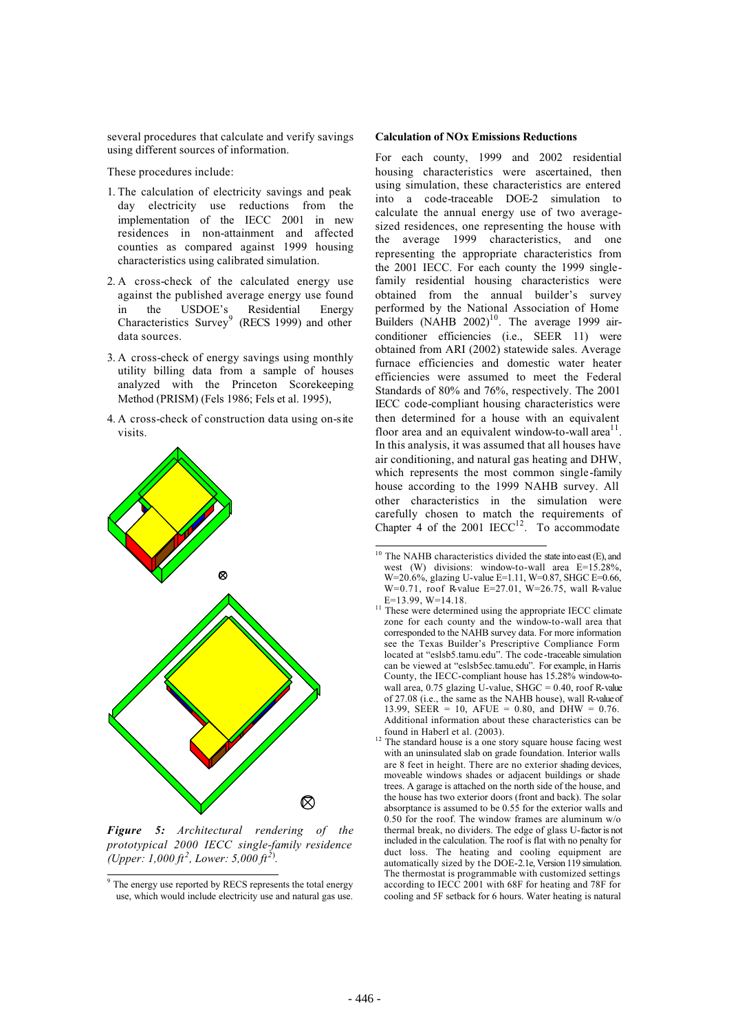several procedures that calculate and verify savings using different sources of information.

These procedures include:

- 1. The calculation of electricity savings and peak day electricity use reductions from the implementation of the IECC 2001 in new residences in non-attainment and affected counties as compared against 1999 housing characteristics using calibrated simulation.
- 2. A cross-check of the calculated energy use against the published average energy use found in the USDOE's Residential Energy Characteristics Survey<sup>9</sup> (RECS 1999) and other data sources.
- 3. A cross-check of energy savings using monthly utility billing data from a sample of houses analyzed with the Princeton Scorekeeping Method (PRISM) (Fels 1986; Fels et al. 1995),
- 4. A cross-check of construction data using on-site visits.



*Figure 5: Architectural rendering of the prototypical 2000 IECC single-family residence (Upper: 1,000 ft*<sup>2</sup>, Lower: 5,000 *ft*<sup>2)</sup>.

#### **Calculation of NOx Emissions Reductions**

For each county, 1999 and 2002 residential housing characteristics were ascertained, then using simulation, these characteristics are entered into a code-traceable DOE-2 simulation to calculate the annual energy use of two averagesized residences, one representing the house with the average 1999 characteristics, and one representing the appropriate characteristics from the 2001 IECC. For each county the 1999 singlefamily residential housing characteristics were obtained from the annual builder's survey performed by the National Association of Home Builders (NAHB  $2002$ )<sup>10</sup>. The average 1999 airconditioner efficiencies (i.e., SEER 11) were obtained from ARI (2002) statewide sales. Average furnace efficiencies and domestic water heater efficiencies were assumed to meet the Federal Standards of 80% and 76%, respectively. The 2001 IECC code-compliant housing characteristics were then determined for a house with an equivalent floor area and an equivalent window-to-wall area<sup> $11$ </sup>. In this analysis, it was assumed that all houses have air conditioning, and natural gas heating and DHW, which represents the most common single-family house according to the 1999 NAHB survey. All other characteristics in the simulation were carefully chosen to match the requirements of Chapter 4 of the 2001  $IECC<sup>12</sup>$ . To accommodate

<sup>&</sup>lt;sup>9</sup> The energy use reported by RECS represents the total energy use, which would include electricity use and natural gas use.

 $10$  The NAHB characteristics divided the state into east (E), and west (W) divisions: window-to-wall area E=15.28%, W=20.6%, glazing U-value E=1.11, W=0.87, SHGC E=0.66, W=0.71, roof R-value E=27.01, W=26.75, wall R-value E=13.99, W=14.18.

 $E=13.99$ , W $E=14.18$ . zone for each county and the window-to-wall area that corresponded to the NAHB survey data. For more information see the Texas Builder's Prescriptive Compliance Form located at "eslsb5.tamu.edu". The code-traceable simulation can be viewed at "eslsb5ec.tamu.edu". For example, in Harris County, the IECC-compliant house has 15.28% window-towall area,  $0.75$  glazing U-value, SHGC =  $0.40$ , roof R-value of 27.08 (i.e., the same as the NAHB house), wall R-value of 13.99, SEER = 10, AFUE = 0.80, and DHW = 0.76. Additional information about these characteristics can be found in Haberl et al. (2003). 12 The standard house is a one story square house facing west

with an uninsulated slab on grade foundation. Interior walls are 8 feet in height. There are no exterior shading devices, moveable windows shades or adjacent buildings or shade trees. A garage is attached on the north side of the house, and the house has two exterior doors (front and back). The solar absorptance is assumed to be 0.55 for the exterior walls and 0.50 for the roof. The window frames are aluminum  $w/o$ thermal break, no dividers. The edge of glass U-factor is not included in the calculation. The roof is flat with no penalty for duct loss. The heating and cooling equipment are automatically sized by the DOE-2.1e, Version 119 simulation. The thermostat is programmable with customized settings according to IECC 2001 with 68F for heating and 78F for cooling and 5F setback for 6 hours. Water heating is natural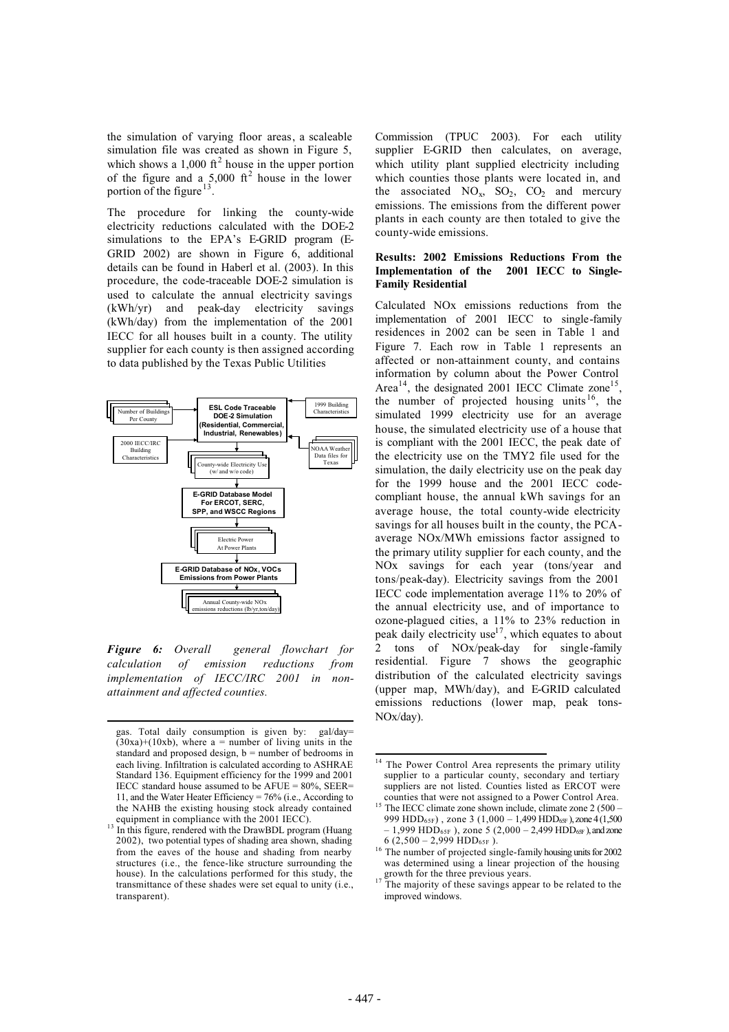the simulation of varying floor areas, a scaleable simulation file was created as shown in Figure 5, which shows a 1,000  $\text{ft}^2$  house in the upper portion of the figure and a  $5,000$  ft<sup>2</sup> house in the lower portion of the figure<sup>13</sup>.

The procedure for linking the county-wide electricity reductions calculated with the DOE-2 simulations to the EPA's E-GRID program (E-GRID 2002) are shown in Figure 6, additional details can be found in Haberl et al. (2003). In this procedure, the code-traceable DOE-2 simulation is used to calculate the annual electricity savings (kWh/yr) and peak-day electricity savings (kWh/day) from the implementation of the 2001 IECC for all houses built in a county. The utility supplier for each county is then assigned according to data published by the Texas Public Utilities



*Figure 6: Overall general flowchart for calculation of emission reductions from implementation of IECC/IRC 2001 in nonattainment and affected counties.*

Commission (TPUC 2003). For each utility supplier E-GRID then calculates, on average, which utility plant supplied electricity including which counties those plants were located in, and the associated  $NO_x$ ,  $SO_2$ ,  $CO_2$  and mercury emissions. The emissions from the different power plants in each county are then totaled to give the county-wide emissions.

### **Results: 2002 Emissions Reductions From the Implementation of the 2001 IECC to Single-Family Residential**

Calculated NOx emissions reductions from the implementation of 2001 IECC to single-family residences in 2002 can be seen in Table 1 and Figure 7. Each row in Table 1 represents an affected or non-attainment county, and contains information by column about the Power Control Area<sup>14</sup>, the designated 2001 IECC Climate zone<sup>15</sup>, the number of projected housing units  $16$ , the simulated 1999 electricity use for an average house, the simulated electricity use of a house that is compliant with the 2001 IECC, the peak date of the electricity use on the TMY2 file used for the simulation, the daily electricity use on the peak day for the 1999 house and the 2001 IECC codecompliant house, the annual kWh savings for an average house, the total county-wide electricity savings for all houses built in the county, the PCAaverage NOx/MWh emissions factor assigned to the primary utility supplier for each county, and the NOx savings for each year (tons/year and tons/peak-day). Electricity savings from the 2001 IECC code implementation average 11% to 20% of the annual electricity use, and of importance to ozone-plagued cities, a 11% to 23% reduction in peak daily electricity use<sup>17</sup>, which equates to about 2 tons of NOx/peak-day for single-family residential. Figure 7 shows the geographic distribution of the calculated electricity savings (upper map, MWh/day), and E-GRID calculated emissions reductions (lower map, peak tons-NOx/day).

gas. Total daily consumption is given by: gal/day=  $(30xa)+(10xb)$ , where a = number of living units in the standard and proposed design,  $b =$  number of bedrooms in each living. Infiltration is calculated according to ASHRAE Standard 136. Equipment efficiency for the 1999 and 2001 IECC standard house assumed to be  $AFUE = 80\%$ ,  $SEER =$ 11, and the Water Heater Efficiency = 76% (i.e., According to the NAHB the existing housing stock already contained equipment in compliance with the 2001 IECC).

<sup>&</sup>lt;sup>13</sup> In this figure, rendered with the DrawBDL program (Huang 2002), two potential types of shading area shown, shading from the eaves of the house and shading from nearby structures (i.e., the fence-like structure surrounding the house). In the calculations performed for this study, the transmittance of these shades were set equal to unity (i.e., transparent).

<sup>&</sup>lt;sup>14</sup> The Power Control Area represents the primary utility supplier to a particular county, secondary and tertiary suppliers are not listed. Counties listed as ERCOT were counties that were not assigned to a Power Control Area.

<sup>&</sup>lt;sup>15</sup> The IECC climate zone shown include, climate zone 2 (500 – 999 HDD<sub>65F</sub>), zone 3 (1,000 – 1,499 HDD<sub>65F</sub>), zone 4 (1,500 – 1,999 HDD<sub>65F</sub>), zone 5 (2,000 – 2,499 HDD<sub>65F</sub>), and zone 6 (2.500 – 2.999 HDD<sub>65F</sub>).

<sup>&</sup>lt;sup>16</sup> The number of projected single-family housing units for 2002 was determined using a linear projection of the housing growth for the three previous years.

<sup>&</sup>lt;sup>17</sup> The majority of these savings appear to be related to the improved windows.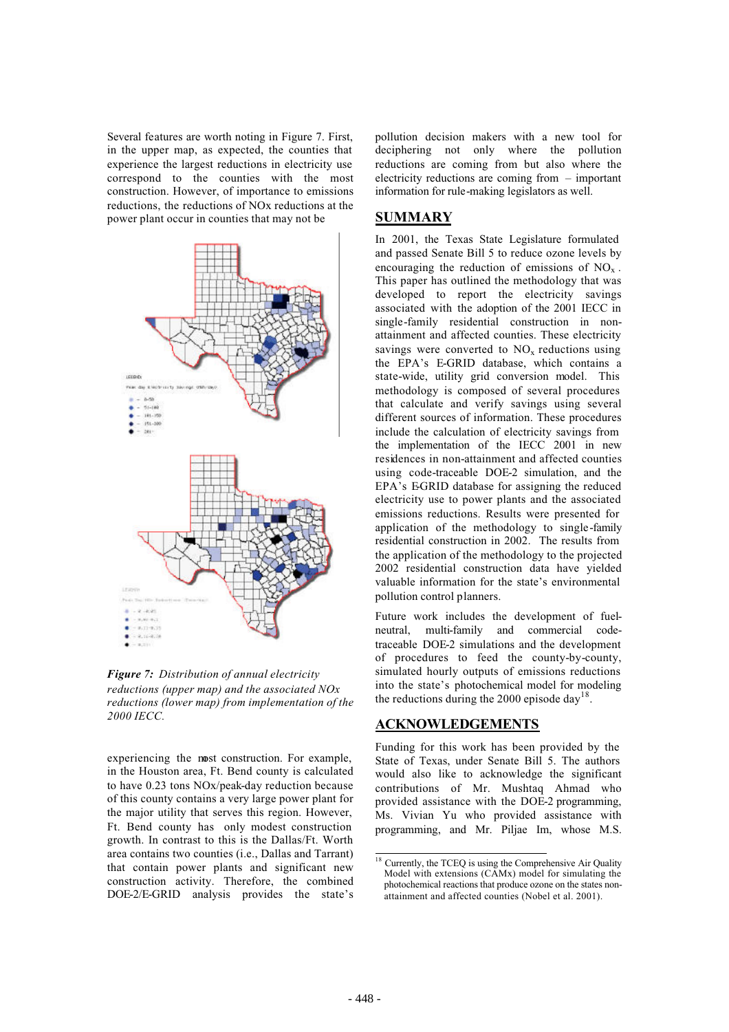Several features are worth noting in Figure 7. First, in the upper map, as expected, the counties that experience the largest reductions in electricity use correspond to the counties with the most construction. However, of importance to emissions reductions, the reductions of NOx reductions at the power plant occur in counties that may not be



*Figure 7: Distribution of annual electricity reductions (upper map) and the associated NOx reductions (lower map) from implementation of the 2000 IECC.*

experiencing the most construction. For example, in the Houston area, Ft. Bend county is calculated to have 0.23 tons NOx/peak-day reduction because of this county contains a very large power plant for the major utility that serves this region. However, Ft. Bend county has only modest construction growth. In contrast to this is the Dallas/Ft. Worth area contains two counties (i.e., Dallas and Tarrant) that contain power plants and significant new construction activity. Therefore, the combined DOE-2/E-GRID analysis provides the state's pollution decision makers with a new tool for deciphering not only where the pollution reductions are coming from but also where the electricity reductions are coming from – important information for rule-making legislators as well.

### **SUMMARY**

In 2001, the Texas State Legislature formulated and passed Senate Bill 5 to reduce ozone levels by encouraging the reduction of emissions of  $NO<sub>x</sub>$ . This paper has outlined the methodology that was developed to report the electricity savings associated with the adoption of the 2001 IECC in single-family residential construction in nonattainment and affected counties. These electricity savings were converted to  $NO<sub>x</sub>$  reductions using the EPA's E-GRID database, which contains a state-wide, utility grid conversion model. This methodology is composed of several procedures that calculate and verify savings using several different sources of information. These procedures include the calculation of electricity savings from the implementation of the IECC 2001 in new residences in non-attainment and affected counties using code-traceable DOE-2 simulation, and the EPA's EGRID database for assigning the reduced electricity use to power plants and the associated emissions reductions. Results were presented for application of the methodology to single-family residential construction in 2002. The results from the application of the methodology to the projected 2002 residential construction data have yielded valuable information for the state's environmental pollution control planners.

Future work includes the development of fuelneutral, multi-family and commercial codetraceable DOE-2 simulations and the development of procedures to feed the county-by-county, simulated hourly outputs of emissions reductions into the state's photochemical model for modeling the reductions during the 2000 episode day<sup>18</sup>.

# **ACKNOWLEDGEMENTS**

Funding for this work has been provided by the State of Texas, under Senate Bill 5. The authors would also like to acknowledge the significant contributions of Mr. Mushtaq Ahmad who provided assistance with the DOE-2 programming, Ms. Vivian Yu who provided assistance with programming, and Mr. Piljae Im, whose M.S.

<sup>&</sup>lt;sup>18</sup> Currently, the TCEQ is using the Comprehensive Air Quality Model with extensions (CAMx) model for simulating the photochemical reactions that produce ozone on the states nonattainment and affected counties (Nobel et al. 2001).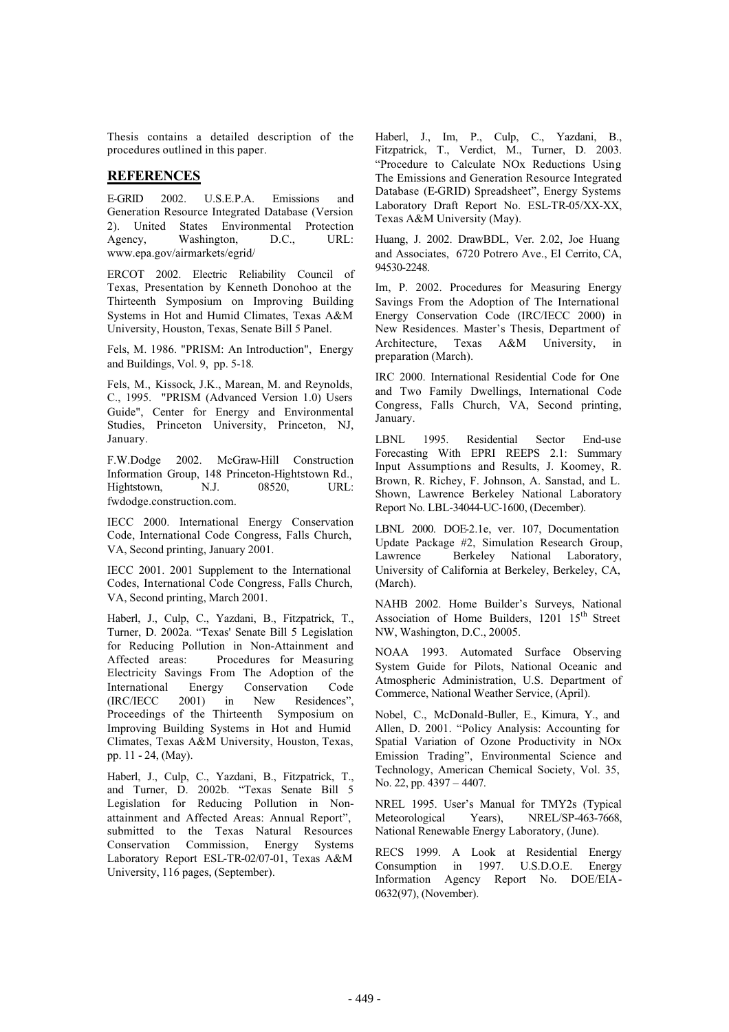Thesis contains a detailed description of the procedures outlined in this paper.

### **REFERENCES**

E-GRID 2002. U.S.E.P.A. Emissions and Generation Resource Integrated Database (Version 2). United States Environmental Protection<br>Agency, Washington, D.C., URL: Agency, Washington, D.C., URL: www.epa.gov/airmarkets/egrid/

ERCOT 2002. Electric Reliability Council of Texas, Presentation by Kenneth Donohoo at the Thirteenth Symposium on Improving Building Systems in Hot and Humid Climates, Texas A&M University, Houston, Texas, Senate Bill 5 Panel.

Fels, M. 1986. "PRISM: An Introduction", Energy and Buildings, Vol. 9, pp. 5-18.

Fels, M., Kissock, J.K., Marean, M. and Reynolds, C., 1995. "PRISM (Advanced Version 1.0) Users Guide", Center for Energy and Environmental Studies, Princeton University, Princeton, NJ, January.

F.W.Dodge 2002. McGraw-Hill Construction Information Group, 148 Princeton-Hightstown Rd., Hightstown, N.J. 08520, URL: fwdodge.construction.com.

IECC 2000. International Energy Conservation Code, International Code Congress, Falls Church, VA, Second printing, January 2001.

IECC 2001. 2001 Supplement to the International Codes, International Code Congress, Falls Church, VA, Second printing, March 2001.

Haberl, J., Culp, C., Yazdani, B., Fitzpatrick, T., Turner, D. 2002a. "Texas' Senate Bill 5 Legislation for Reducing Pollution in Non-Attainment and Affected areas: Procedures for Measuring Electricity Savings From The Adoption of the International Energy Conservation Code (IRC/IECC 2001) in New Residences", Proceedings of the Thirteenth Symposium on Improving Building Systems in Hot and Humid Climates, Texas A&M University, Houston, Texas, pp. 11 - 24, (May).

Haberl, J., Culp, C., Yazdani, B., Fitzpatrick, T., and Turner, D. 2002b. "Texas Senate Bill 5 Legislation for Reducing Pollution in Nonattainment and Affected Areas: Annual Report", submitted to the Texas Natural Resources Conservation Commission, Energy Systems Laboratory Report ESL-TR-02/07-01, Texas A&M University, 116 pages, (September).

Haberl, J., Im, P., Culp, C., Yazdani, B., Fitzpatrick, T., Verdict, M., Turner, D. 2003. "Procedure to Calculate NOx Reductions Using The Emissions and Generation Resource Integrated Database (E-GRID) Spreadsheet", Energy Systems Laboratory Draft Report No. ESL-TR-05/XX-XX, Texas A&M University (May).

Huang, J. 2002. DrawBDL, Ver. 2.02, Joe Huang and Associates, 6720 Potrero Ave., El Cerrito, CA, 94530-2248.

Im, P. 2002. Procedures for Measuring Energy Savings From the Adoption of The International Energy Conservation Code (IRC/IECC 2000) in New Residences. Master's Thesis, Department of Architecture, Texas A&M University, in preparation (March).

IRC 2000. International Residential Code for One and Two Family Dwellings, International Code Congress, Falls Church, VA, Second printing, January.

LBNL 1995. Residential Sector End-use Forecasting With EPRI REEPS 2.1: Summary Input Assumptions and Results, J. Koomey, R. Brown, R. Richey, F. Johnson, A. Sanstad, and L. Shown, Lawrence Berkeley National Laboratory Report No. LBL-34044-UC-1600, (December).

LBNL 2000. DOE-2.1e, ver. 107, Documentation Update Package #2, Simulation Research Group, Lawrence Berkeley National Laboratory, University of California at Berkeley, Berkeley, CA, (March).

NAHB 2002. Home Builder's Surveys, National Association of Home Builders, 1201 15<sup>th</sup> Street NW, Washington, D.C., 20005.

NOAA 1993. Automated Surface Observing System Guide for Pilots, National Oceanic and Atmospheric Administration, U.S. Department of Commerce, National Weather Service, (April).

Nobel, C., McDonald-Buller, E., Kimura, Y., and Allen, D. 2001. "Policy Analysis: Accounting for Spatial Variation of Ozone Productivity in NOx Emission Trading", Environmental Science and Technology, American Chemical Society, Vol. 35, No. 22, pp. 4397 – 4407.

NREL 1995. User's Manual for TMY2s (Typical Meteorological Years), NREL/SP-463-7668, National Renewable Energy Laboratory, (June).

RECS 1999. A Look at Residential Energy Consumption in 1997. U.S.D.O.E. Energy Information Agency Report No. DOE/EIA-0632(97), (November).